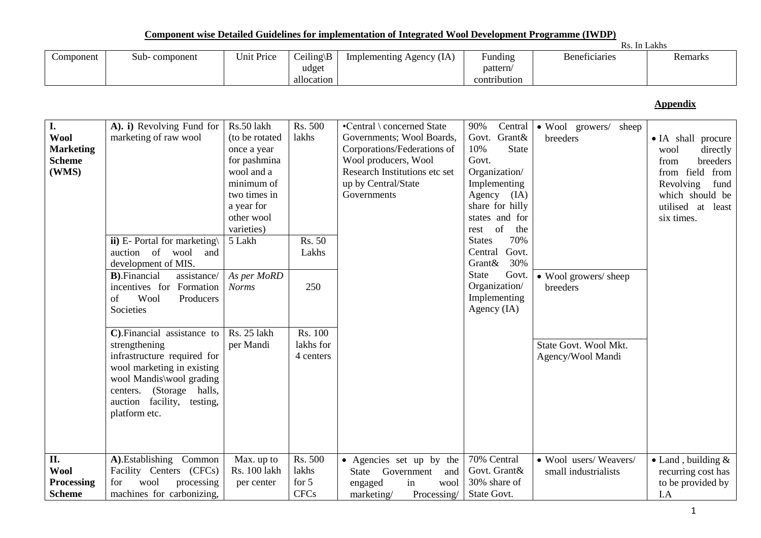**Component wise Detailed Guidelines for implementation of Integrated Wool Development Programme (IWDP)**

|           |               |            |                                      | <u>U VAAAN VAAWAAN TIEDU AFUULUU WAXEELAHU AVA AAANTUURIIKU UU AAAUURIIKU TI VUA AFU FALUNAAUU A LUBA WAAAAAUU TATTAFA</u> |                                     |                      |         |  |  |  |  |
|-----------|---------------|------------|--------------------------------------|----------------------------------------------------------------------------------------------------------------------------|-------------------------------------|----------------------|---------|--|--|--|--|
|           | Rs. In Lakhs  |            |                                      |                                                                                                                            |                                     |                      |         |  |  |  |  |
| Component | Sub-component | Unit Price | $Ceiling \B)$<br>udget<br>allocation | Implementing Agency (IA)                                                                                                   | Funding<br>pattern/<br>contribution | <b>Beneficiaries</b> | Remarks |  |  |  |  |

# **Appendix**

| I.                |                                       | Rs.50 lakh     | Rs. 500     | •Central \ concerned State    |                      |                               |                            |
|-------------------|---------------------------------------|----------------|-------------|-------------------------------|----------------------|-------------------------------|----------------------------|
|                   | A). i) Revolving Fund for             |                |             |                               | 90%                  | Central • Wool growers/ sheep |                            |
| <b>Wool</b>       | marketing of raw wool                 | (to be rotated | lakhs       | Governments; Wool Boards,     | Govt. Grant&         | breeders                      | • IA shall procure         |
| <b>Marketing</b>  |                                       | once a year    |             | Corporations/Federations of   | <b>State</b><br>10%  |                               | directly<br>wool           |
| <b>Scheme</b>     |                                       | for pashmina   |             | Wool producers, Wool          | Govt.                |                               | breeders<br>from           |
| (WMS)             |                                       | wool and a     |             | Research Institutions etc set | Organization/        |                               | field from<br>from         |
|                   |                                       | minimum of     |             | up by Central/State           | Implementing         |                               | Revolving<br>fund          |
|                   |                                       | two times in   |             | Governments                   | Agency (IA)          |                               | which should be            |
|                   |                                       | a year for     |             |                               | share for hilly      |                               | utilised at<br>least       |
|                   |                                       | other wool     |             |                               | states and for       |                               | six times.                 |
|                   |                                       | varieties)     |             |                               | rest of<br>the       |                               |                            |
|                   | ii) E- Portal for marketing $\langle$ | 5 Lakh         | Rs. 50      |                               | 70%<br><b>States</b> |                               |                            |
|                   | auction of<br>wool<br>and             |                | Lakhs       |                               | Govt.<br>Central     |                               |                            |
|                   | development of MIS.                   |                |             |                               | 30%<br>Grant&        |                               |                            |
|                   | <b>B</b> ). Financial<br>assistance/  | As per MoRD    |             |                               | Govt.<br>State       | • Wool growers/ sheep         |                            |
|                   | incentives for Formation              | <b>Norms</b>   | 250         |                               | Organization/        | breeders                      |                            |
|                   | Wool<br>Producers<br>of               |                |             |                               | Implementing         |                               |                            |
|                   | Societies                             |                |             |                               | Agency $(IA)$        |                               |                            |
|                   |                                       |                |             |                               |                      |                               |                            |
|                   | C). Financial assistance to           | Rs. 25 lakh    | Rs. 100     |                               |                      |                               |                            |
|                   | strengthening                         | per Mandi      | lakhs for   |                               |                      | State Govt. Wool Mkt.         |                            |
|                   | infrastructure required for           |                | 4 centers   |                               |                      |                               |                            |
|                   |                                       |                |             |                               |                      | Agency/Wool Mandi             |                            |
|                   | wool marketing in existing            |                |             |                               |                      |                               |                            |
|                   | wool Mandis\wool grading              |                |             |                               |                      |                               |                            |
|                   | (Storage halls,<br>centers.           |                |             |                               |                      |                               |                            |
|                   | auction facility, testing,            |                |             |                               |                      |                               |                            |
|                   | platform etc.                         |                |             |                               |                      |                               |                            |
|                   |                                       |                |             |                               |                      |                               |                            |
|                   |                                       |                |             |                               |                      |                               |                            |
|                   |                                       |                |             |                               |                      |                               |                            |
| II.               | A).Establishing Common                | Max. up to     | Rs. 500     | • Agencies set up by the      | 70% Central          | • Wool users/Weavers/         | $\bullet$ Land, building & |
| <b>Wool</b>       | Facility Centers (CFCs)               | Rs. 100 lakh   | lakhs       | Government<br>State<br>and    | Govt. Grant&         | small industrialists          | recurring cost has         |
| <b>Processing</b> | wool<br>processing<br>for             | per center     | for $5$     | in<br>engaged<br>wool         | 30% share of         |                               | to be provided by          |
| <b>Scheme</b>     | machines for carbonizing,             |                | <b>CFCs</b> | Processing/<br>marketing/     | State Govt.          |                               | I.A                        |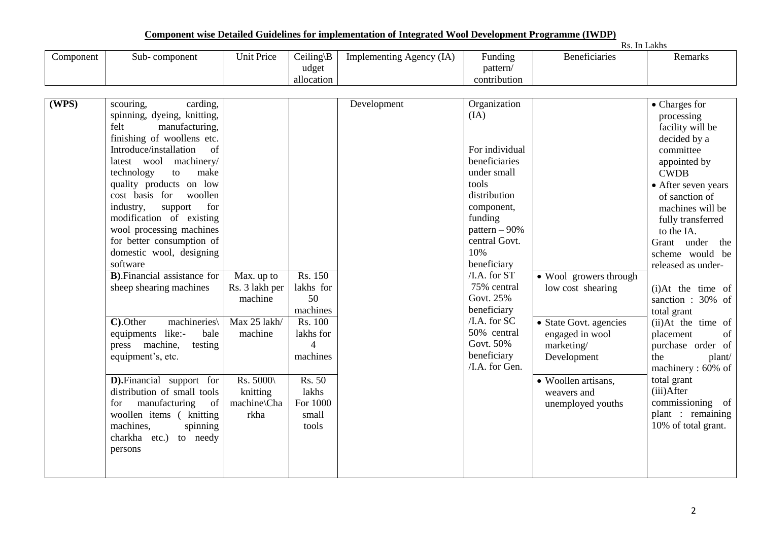| Component | Sub-component                          | <b>Unit Price</b> | $Ceiling\$     | Implementing Agency (IA) | Funding         | <b>Beneficiaries</b>   | Remarks               |
|-----------|----------------------------------------|-------------------|----------------|--------------------------|-----------------|------------------------|-----------------------|
|           |                                        |                   |                |                          |                 |                        |                       |
|           |                                        |                   | udget          |                          | pattern/        |                        |                       |
|           |                                        |                   | allocation     |                          | contribution    |                        |                       |
| (WPS)     | carding,<br>scouring,                  |                   |                | Development              | Organization    |                        | • Charges for         |
|           | spinning, dyeing, knitting,            |                   |                |                          | (IA)            |                        | processing            |
|           | manufacturing,<br>felt                 |                   |                |                          |                 |                        | facility will be      |
|           | finishing of woollens etc.             |                   |                |                          |                 |                        |                       |
|           | Introduce/installation<br>of           |                   |                |                          | For individual  |                        | decided by a          |
|           |                                        |                   |                |                          | beneficiaries   |                        | committee             |
|           | machinery/<br>latest wool              |                   |                |                          |                 |                        | appointed by          |
|           | technology<br>to<br>make               |                   |                |                          | under small     |                        | <b>CWDB</b>           |
|           | quality products on low                |                   |                |                          | tools           |                        | • After seven years   |
|           | cost basis for<br>woollen              |                   |                |                          | distribution    |                        | of sanction of        |
|           | support<br>for<br>industry,            |                   |                |                          | component,      |                        | machines will be      |
|           | modification of existing               |                   |                |                          | funding         |                        | fully transferred     |
|           | wool processing machines               |                   |                |                          | pattern $-90\%$ |                        | to the IA.            |
|           | for better consumption of              |                   |                |                          | central Govt.   |                        | Grant under the       |
|           | domestic wool, designing               |                   |                |                          | 10%             |                        | scheme would be       |
|           | software                               |                   |                |                          | beneficiary     |                        | released as under-    |
|           | <b>B</b> ). Financial assistance for   | Max. up to        | Rs. 150        |                          | /I.A. for ST    | • Wool growers through |                       |
|           | sheep shearing machines                | Rs. 3 lakh per    | lakhs for      |                          | 75% central     | low cost shearing      | $(i)$ At the time of  |
|           |                                        | machine           | 50             |                          | Govt. 25%       |                        | sanction: 30% of      |
|           |                                        |                   | machines       |                          | beneficiary     |                        | total grant           |
|           | $\overline{C}$ . Other<br>machineries\ | Max 25 lakh/      | <b>Rs. 100</b> |                          | $/$ I.A. for SC | • State Govt. agencies | $(ii)$ At the time of |
|           | equipments like:-<br>bale              | machine           | lakhs for      |                          | 50% central     | engaged in wool        | placement<br>of       |
|           | press machine,<br>testing              |                   | $\overline{4}$ |                          | Govt. 50%       | marketing/             | purchase order of     |
|           | equipment's, etc.                      |                   | machines       |                          | beneficiary     | Development            | the<br>plant/         |
|           |                                        |                   |                |                          | /I.A. for Gen.  |                        | machinery: 60% of     |
|           | <b>D</b> ). Financial support for      | Rs. 5000\         | Rs. 50         |                          |                 | • Woollen artisans,    | total grant           |
|           | distribution of small tools            | knitting          | lakhs          |                          |                 | weavers and            | (iii)After            |
|           | manufacturing<br>of<br>for             | machine\Cha       | For 1000       |                          |                 | unemployed youths      | commissioning of      |
|           | woollen items (knitting                | rkha              | small          |                          |                 |                        | plant : remaining     |
|           | machines,<br>spinning                  |                   | tools          |                          |                 |                        | 10% of total grant.   |
|           | charkha etc.) to needy                 |                   |                |                          |                 |                        |                       |
|           | persons                                |                   |                |                          |                 |                        |                       |
|           |                                        |                   |                |                          |                 |                        |                       |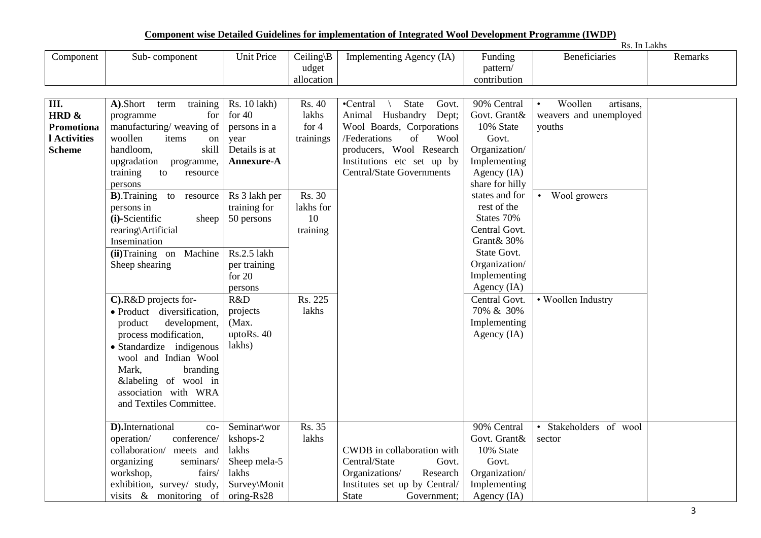**Component wise Detailed Guidelines for implementation of Integrated Wool Development Programme (IWDP)**

|               |                                        |                   |                     |                                  |                          | Rs. In Lakhs                      |         |
|---------------|----------------------------------------|-------------------|---------------------|----------------------------------|--------------------------|-----------------------------------|---------|
| Component     | Sub-component                          | <b>Unit Price</b> | $Ceiling \B)$       | Implementing Agency (IA)         | Funding                  | Beneficiaries                     | Remarks |
|               |                                        |                   | udget<br>allocation |                                  | pattern/<br>contribution |                                   |         |
|               |                                        |                   |                     |                                  |                          |                                   |         |
|               |                                        |                   |                     |                                  |                          |                                   |         |
| III.          | A).Short<br>training<br>term           | Rs. 10 lakh)      | Rs. 40              | State<br>•Central<br>Govt.       | 90% Central              | Woollen<br>artisans,<br>$\bullet$ |         |
| HRD &         | for<br>programme                       | for $40$          | lakhs               | Animal Husbandry<br>Dept;        | Govt. Grant&             | weavers and unemployed            |         |
| Promotiona    | manufacturing/weaving of               | persons in a      | for $4$             | Wool Boards, Corporations        | 10% State                | youths                            |         |
| 1 Activities  | woollen<br>items<br>on                 | year              | trainings           | /Federations<br>of<br>Wool       | Govt.                    |                                   |         |
| <b>Scheme</b> | handloom,<br>skill                     | Details is at     |                     | producers, Wool Research         | Organization/            |                                   |         |
|               | upgradation<br>programme,              | Annexure-A        |                     | Institutions etc set up by       | Implementing             |                                   |         |
|               | training<br>to<br>resource             |                   |                     | <b>Central/State Governments</b> | Agency (IA)              |                                   |         |
|               | persons                                |                   |                     |                                  | share for hilly          |                                   |         |
|               | <b>B</b> ). Training<br>to<br>resource | Rs 3 lakh per     | Rs. 30              |                                  | states and for           | • Wool growers                    |         |
|               | persons in                             | training for      | lakhs for           |                                  | rest of the              |                                   |         |
|               | (i)-Scientific<br>sheep                | 50 persons        | 10                  |                                  | States 70%               |                                   |         |
|               | rearing\Artificial                     |                   | training            |                                  | Central Govt.            |                                   |         |
|               | Insemination                           |                   |                     |                                  | Grant& 30%               |                                   |         |
|               | (ii)Training on Machine                | Rs.2.5 lakh       |                     |                                  | State Govt.              |                                   |         |
|               | Sheep shearing                         | per training      |                     |                                  | Organization/            |                                   |         |
|               |                                        | for $20$          |                     |                                  | Implementing             |                                   |         |
|               |                                        | persons           |                     |                                  | Agency (IA)              |                                   |         |
|               | C).R&D projects for-                   | R&D               | Rs. 225             |                                  | Central Govt.            | • Woollen Industry                |         |
|               | · Product diversification,             | projects          | lakhs               |                                  | 70% & 30%                |                                   |         |
|               | product<br>development,                | (Max.             |                     |                                  | Implementing             |                                   |         |
|               | process modification,                  | uptoRs. 40        |                     |                                  | Agency (IA)              |                                   |         |
|               | • Standardize indigenous               | lakhs)            |                     |                                  |                          |                                   |         |
|               | wool and Indian Wool                   |                   |                     |                                  |                          |                                   |         |
|               | Mark,<br>branding                      |                   |                     |                                  |                          |                                   |         |
|               | &labeling of wool in                   |                   |                     |                                  |                          |                                   |         |
|               | association with WRA                   |                   |                     |                                  |                          |                                   |         |
|               | and Textiles Committee.                |                   |                     |                                  |                          |                                   |         |
|               |                                        |                   |                     |                                  |                          |                                   |         |
|               | D).International<br>$_{\rm CO-}$       | Seminar\wor       | Rs. 35              |                                  | 90% Central              | · Stakeholders of wool            |         |
|               | operation/<br>conference/              | kshops-2          | lakhs               |                                  | Govt. Grant&             | sector                            |         |
|               | collaboration/ meets and               | lakhs             |                     | CWDB in collaboration with       | 10% State                |                                   |         |
|               | organizing<br>seminars/                | Sheep mela-5      |                     | Central/State<br>Govt.           | Govt.                    |                                   |         |
|               | workshop,<br>fairs/                    | lakhs             |                     | Organizations/<br>Research       | Organization/            |                                   |         |
|               | exhibition, survey/ study,             | Survey\Monit      |                     | Institutes set up by Central/    | Implementing             |                                   |         |
|               | visits $\&$ monitoring of              | oring-Rs28        |                     | <b>State</b><br>Government;      | Agency $(IA)$            |                                   |         |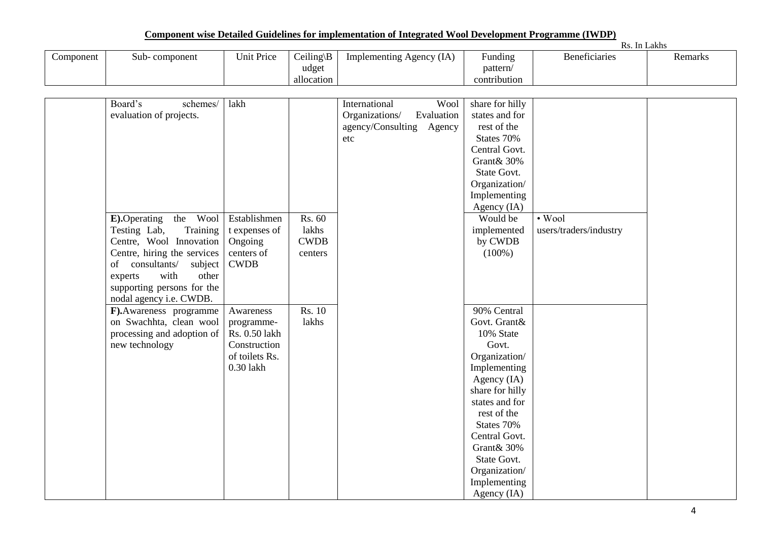|           |               |            |               |                               |                            | -In<br>55.           | Lakhs   |
|-----------|---------------|------------|---------------|-------------------------------|----------------------------|----------------------|---------|
| Component | Sub-component | Unit Price | $Ceiling \B)$ | Agency (IA)<br>. Implementing | $\cdot$ $\cdot$<br>Funding | <b>Beneficiaries</b> | Remarks |
|           |               |            | udget         |                               | pattern/                   |                      |         |
|           |               |            | allocation    |                               | contribution               |                      |         |

| Board's<br>schemes/                  | lakh           |                             | International<br>Wool        | share for hilly |                        |
|--------------------------------------|----------------|-----------------------------|------------------------------|-----------------|------------------------|
| evaluation of projects.              |                |                             | Organizations/<br>Evaluation | states and for  |                        |
|                                      |                |                             | agency/Consulting Agency     | rest of the     |                        |
|                                      |                |                             | etc                          | States 70%      |                        |
|                                      |                |                             |                              | Central Govt.   |                        |
|                                      |                |                             |                              | Grant& 30%      |                        |
|                                      |                |                             |                              | State Govt.     |                        |
|                                      |                |                             |                              | Organization/   |                        |
|                                      |                |                             |                              | Implementing    |                        |
|                                      |                |                             |                              | Agency (IA)     |                        |
| the Wool<br><b>E</b> ). Operating    | Establishmen   | $\overline{\text{Rs}}$ . 60 |                              | Would be        | $\cdot$ Wool           |
| Testing Lab,<br>Training             | t expenses of  | lakhs                       |                              | implemented     | users/traders/industry |
| Centre, Wool Innovation              | Ongoing        | <b>CWDB</b>                 |                              | by CWDB         |                        |
| Centre, hiring the services          | centers of     | centers                     |                              | $(100\%)$       |                        |
| of consultants/<br>subject           | <b>CWDB</b>    |                             |                              |                 |                        |
| experts<br>with<br>other             |                |                             |                              |                 |                        |
| supporting persons for the           |                |                             |                              |                 |                        |
| nodal agency i.e. CWDB.              |                |                             |                              |                 |                        |
| $\overline{F}$ . Awareness programme | Awareness      | Rs. 10                      |                              | 90% Central     |                        |
| on Swachhta, clean wool              | programme-     | lakhs                       |                              | Govt. Grant&    |                        |
| processing and adoption of           | Rs. 0.50 lakh  |                             |                              | 10% State       |                        |
| new technology                       | Construction   |                             |                              | Govt.           |                        |
|                                      | of toilets Rs. |                             |                              | Organization/   |                        |
|                                      | 0.30 lakh      |                             |                              | Implementing    |                        |
|                                      |                |                             |                              | Agency (IA)     |                        |
|                                      |                |                             |                              | share for hilly |                        |
|                                      |                |                             |                              | states and for  |                        |
|                                      |                |                             |                              | rest of the     |                        |
|                                      |                |                             |                              | States 70%      |                        |
|                                      |                |                             |                              | Central Govt.   |                        |
|                                      |                |                             |                              | Grant& 30%      |                        |
|                                      |                |                             |                              | State Govt.     |                        |
|                                      |                |                             |                              | Organization/   |                        |
|                                      |                |                             |                              | Implementing    |                        |
|                                      |                |                             |                              | Agency (IA)     |                        |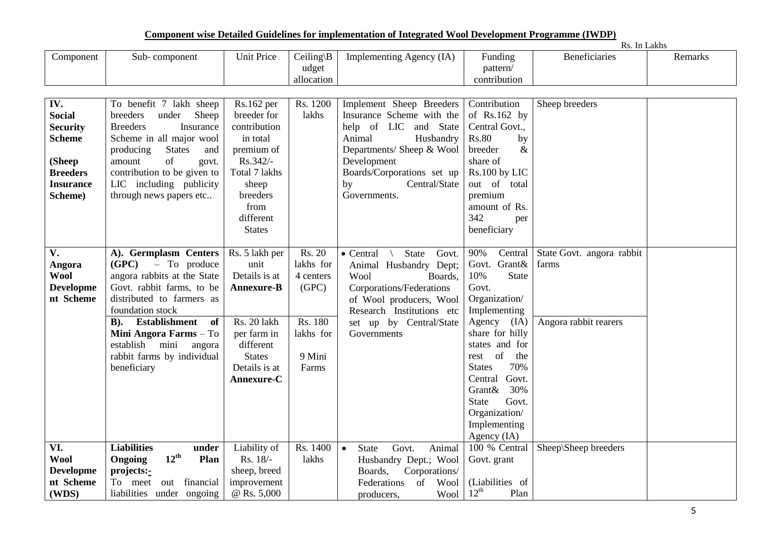**Component wise Detailed Guidelines for implementation of Integrated Wool Development Programme (IWDP)**

|                                                                                                                      |                                                                                                                                                                                                                                                                                           |                                                                                                                                                  |                                                                                      |                                                                                                                                                                                                                        |                                                                                                                                                                                                                                            | Rs. In Lakhs                                                |         |
|----------------------------------------------------------------------------------------------------------------------|-------------------------------------------------------------------------------------------------------------------------------------------------------------------------------------------------------------------------------------------------------------------------------------------|--------------------------------------------------------------------------------------------------------------------------------------------------|--------------------------------------------------------------------------------------|------------------------------------------------------------------------------------------------------------------------------------------------------------------------------------------------------------------------|--------------------------------------------------------------------------------------------------------------------------------------------------------------------------------------------------------------------------------------------|-------------------------------------------------------------|---------|
| Component                                                                                                            | Sub-component                                                                                                                                                                                                                                                                             | Unit Price                                                                                                                                       | Ceiling\B<br>udget                                                                   | Implementing Agency (IA)                                                                                                                                                                                               | Funding<br>pattern/                                                                                                                                                                                                                        | <b>Beneficiaries</b>                                        | Remarks |
|                                                                                                                      |                                                                                                                                                                                                                                                                                           |                                                                                                                                                  | allocation                                                                           |                                                                                                                                                                                                                        | contribution                                                                                                                                                                                                                               |                                                             |         |
|                                                                                                                      |                                                                                                                                                                                                                                                                                           |                                                                                                                                                  |                                                                                      |                                                                                                                                                                                                                        |                                                                                                                                                                                                                                            |                                                             |         |
| IV.<br><b>Social</b><br><b>Security</b><br><b>Scheme</b><br>(Sheep<br><b>Breeders</b><br><b>Insurance</b><br>Scheme) | To benefit 7 lakh sheep<br>Sheep<br>breeders<br>under<br><b>Breeders</b><br>Insurance<br>Scheme in all major wool<br><b>States</b><br>producing<br>and<br>of<br>amount<br>govt.<br>contribution to be given to<br>LIC including publicity<br>through news papers etc                      | Rs.162 per<br>breeder for<br>contribution<br>in total<br>premium of<br>Rs.342/-<br>Total 7 lakhs<br>sheep<br>breeders<br>from<br>different       | Rs. 1200<br>lakhs                                                                    | Implement Sheep Breeders<br>Insurance Scheme with the<br>help of LIC and State<br>Animal<br>Husbandry<br>Departments/ Sheep & Wool<br>Development<br>Boards/Corporations set up<br>Central/State<br>by<br>Governments. | Contribution<br>of $Rs.162$ by<br>Central Govt.,<br><b>Rs.80</b><br>by<br>breeder<br>&<br>share of<br>Rs.100 by LIC<br>out of total<br>premium<br>amount of Rs.<br>342                                                                     | Sheep breeders                                              |         |
|                                                                                                                      |                                                                                                                                                                                                                                                                                           | <b>States</b>                                                                                                                                    |                                                                                      |                                                                                                                                                                                                                        | per<br>beneficiary                                                                                                                                                                                                                         |                                                             |         |
|                                                                                                                      |                                                                                                                                                                                                                                                                                           |                                                                                                                                                  |                                                                                      |                                                                                                                                                                                                                        |                                                                                                                                                                                                                                            |                                                             |         |
| V.<br>Angora<br><b>Wool</b><br><b>Developme</b><br>nt Scheme                                                         | A). Germplasm Centers<br>(GPC)<br>- To produce<br>angora rabbits at the State<br>Govt. rabbit farms, to be<br>distributed to farmers as<br>foundation stock<br>B). Establishment<br>of<br>Mini Angora Farms - To<br>establish mini<br>angora<br>rabbit farms by individual<br>beneficiary | Rs. 5 lakh per<br>unit<br>Details is at<br>Annexure-B<br>Rs. 20 lakh<br>per farm in<br>different<br><b>States</b><br>Details is at<br>Annexure-C | Rs. 20<br>lakhs for<br>4 centers<br>(GPC)<br>Rs. 180<br>lakhs for<br>9 Mini<br>Farms | • Central<br>State<br>Govt.<br>Animal Husbandry Dept;<br>Wool<br>Boards,<br>Corporations/Federations<br>of Wool producers, Wool<br>Research Institutions etc<br>set up by Central/State<br>Governments                 | 90%<br>Central<br>Govt. Grant&<br>State<br>10%<br>Govt.<br>Organization/<br>Implementing<br>Agency (IA)<br>share for hilly<br>states and for<br>rest of<br>the<br>70%<br><b>States</b><br>Central Govt.<br>30%<br>Grant&<br>Govt.<br>State | State Govt. angora rabbit<br>farms<br>Angora rabbit rearers |         |
|                                                                                                                      |                                                                                                                                                                                                                                                                                           |                                                                                                                                                  |                                                                                      |                                                                                                                                                                                                                        | Organization/<br>Implementing<br>Agency $(IA)$                                                                                                                                                                                             |                                                             |         |
| VI.                                                                                                                  | <b>Liabilities</b><br>under                                                                                                                                                                                                                                                               | Liability of                                                                                                                                     | Rs. 1400                                                                             | Govt.<br>$\bullet$<br><b>State</b><br>Animal                                                                                                                                                                           | 100 % Central                                                                                                                                                                                                                              | Sheep\Sheep breeders                                        |         |
| <b>Wool</b>                                                                                                          | $12^{\text{th}}$<br>Plan<br><b>Ongoing</b>                                                                                                                                                                                                                                                | Rs. 18/-                                                                                                                                         | lakhs                                                                                | Husbandry Dept.; Wool                                                                                                                                                                                                  | Govt. grant                                                                                                                                                                                                                                |                                                             |         |
| <b>Developme</b>                                                                                                     | projects:-                                                                                                                                                                                                                                                                                | sheep, breed                                                                                                                                     |                                                                                      | Corporations/<br>Boards,                                                                                                                                                                                               |                                                                                                                                                                                                                                            |                                                             |         |
| nt Scheme                                                                                                            | To meet<br>out financial                                                                                                                                                                                                                                                                  | improvement                                                                                                                                      |                                                                                      | of<br>Wool<br>Federations                                                                                                                                                                                              | (Liabilities of                                                                                                                                                                                                                            |                                                             |         |
| (WDS)                                                                                                                | liabilities under ongoing                                                                                                                                                                                                                                                                 | @ Rs. 5,000                                                                                                                                      |                                                                                      | Wool<br>producers,                                                                                                                                                                                                     | $12^{\text{th}}$<br>Plan                                                                                                                                                                                                                   |                                                             |         |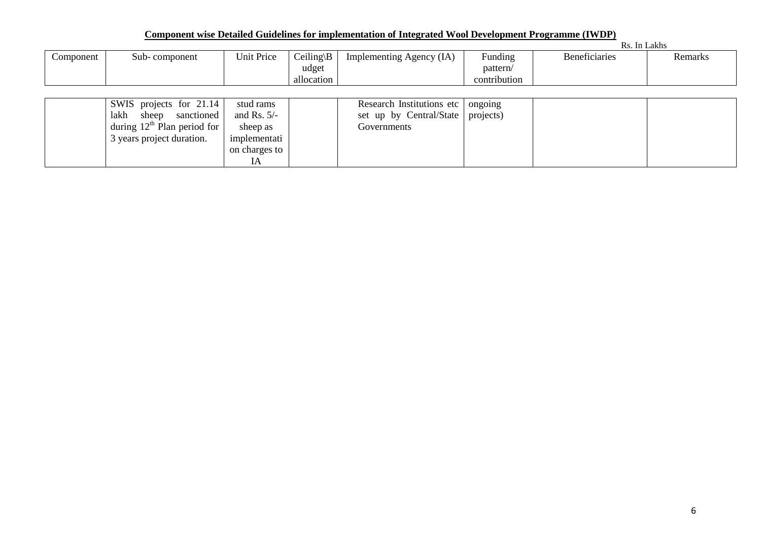|           |                                  |               |                      |                                     |              | Rs. In Lakhs         |         |
|-----------|----------------------------------|---------------|----------------------|-------------------------------------|--------------|----------------------|---------|
| Component | Sub-component                    | Unit Price    | Ceiling $\mathbf{B}$ | Implementing Agency (IA)            | Funding      | <b>Beneficiaries</b> | Remarks |
|           |                                  |               | udget                |                                     | pattern/     |                      |         |
|           |                                  |               | allocation           |                                     | contribution |                      |         |
|           |                                  |               |                      |                                     |              |                      |         |
|           | SWIS projects for 21.14          | stud rams     |                      | Research Institutions etc   ongoing |              |                      |         |
|           | lakh sheep sanctioned            | and Rs. $5/-$ |                      | set up by Central/State   projects) |              |                      |         |
|           | during $12^{th}$ Plan period for | sheep as      |                      | Governments                         |              |                      |         |
|           | 3 years project duration.        | implementati  |                      |                                     |              |                      |         |
|           |                                  | on charges to |                      |                                     |              |                      |         |
|           |                                  | IΑ            |                      |                                     |              |                      |         |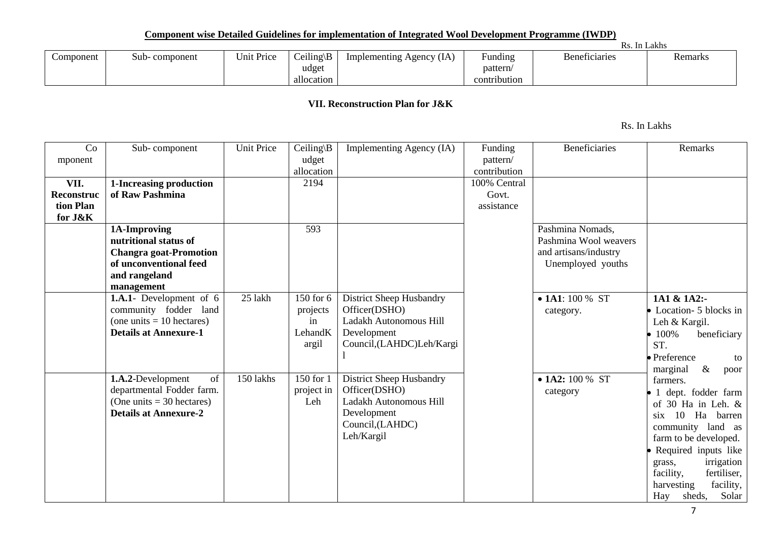| Component | Sub-component | Unit Price | $Ceiling \B)$<br>udget<br>allocation | Implementing Agency (IA) | Funding<br>pattern/<br>contribution | <b>Beneficiaries</b> | Remarks |  |  |  |  |
|-----------|---------------|------------|--------------------------------------|--------------------------|-------------------------------------|----------------------|---------|--|--|--|--|

### **VII. Reconstruction Plan for J&K**

Rs. In Lakhs

| Co         | Sub-component                  | <b>Unit Price</b> | Ceiling\ $B$ | Implementing Agency (IA)   | Funding      | <b>Beneficiaries</b>    | Remarks                  |
|------------|--------------------------------|-------------------|--------------|----------------------------|--------------|-------------------------|--------------------------|
| mponent    |                                |                   | udget        |                            | pattern/     |                         |                          |
|            |                                |                   | allocation   |                            | contribution |                         |                          |
| VII.       | 1-Increasing production        |                   | 2194         |                            | 100% Central |                         |                          |
| Reconstruc | of Raw Pashmina                |                   |              |                            | Govt.        |                         |                          |
| tion Plan  |                                |                   |              |                            | assistance   |                         |                          |
| for J&K    |                                |                   |              |                            |              |                         |                          |
|            | 1A-Improving                   |                   | 593          |                            |              | Pashmina Nomads,        |                          |
|            | nutritional status of          |                   |              |                            |              | Pashmina Wool weavers   |                          |
|            | <b>Changra goat-Promotion</b>  |                   |              |                            |              | and artisans/industry   |                          |
|            | of unconventional feed         |                   |              |                            |              | Unemployed youths       |                          |
|            | and rangeland                  |                   |              |                            |              |                         |                          |
|            | management                     |                   |              |                            |              |                         |                          |
|            | <b>1.A.1-</b> Development of 6 | 25 lakh           | 150 for 6    | District Sheep Husbandry   |              | $\bullet$ 1A1: 100 % ST | 1A1 & 1A2:-              |
|            | community fodder land          |                   | projects     | Officer(DSHO)              |              |                         | • Location- 5 blocks in  |
|            | (one units $= 10$ hectares)    |                   | in           | Ladakh Autonomous Hill     |              | category.               | Leh & Kargil.            |
|            | <b>Details at Annexure-1</b>   |                   | LehandK      | Development                |              |                         |                          |
|            |                                |                   | argil        | Council, (LAHDC) Leh/Kargi |              |                         | 100%<br>beneficiary      |
|            |                                |                   |              |                            |              |                         | ST.                      |
|            |                                |                   |              |                            |              |                         | • Preference<br>to       |
|            | of                             | 150 lakhs         | 150 for 1    |                            |              |                         | marginal<br>$\&$<br>poor |
|            | 1.A.2-Development              |                   |              | District Sheep Husbandry   |              | $\bullet$ 1A2: 100 % ST | farmers.                 |
|            | departmental Fodder farm.      |                   | project in   | Officer(DSHO)              |              | category                | 1 dept. fodder farm      |
|            | (One units $=$ 30 hectares)    |                   | Leh          | Ladakh Autonomous Hill     |              |                         | of 30 Ha in Leh. &       |
|            | <b>Details at Annexure-2</b>   |                   |              | Development                |              |                         | 10<br>Ha barren<br>six.  |
|            |                                |                   |              | Council, (LAHDC)           |              |                         | community land as        |
|            |                                |                   |              | Leh/Kargil                 |              |                         | farm to be developed.    |
|            |                                |                   |              |                            |              |                         | Required inputs like     |
|            |                                |                   |              |                            |              |                         | irrigation<br>grass,     |
|            |                                |                   |              |                            |              |                         | fertiliser,<br>facility, |
|            |                                |                   |              |                            |              |                         | facility,<br>harvesting  |
|            |                                |                   |              |                            |              |                         | Solar<br>Hay<br>sheds,   |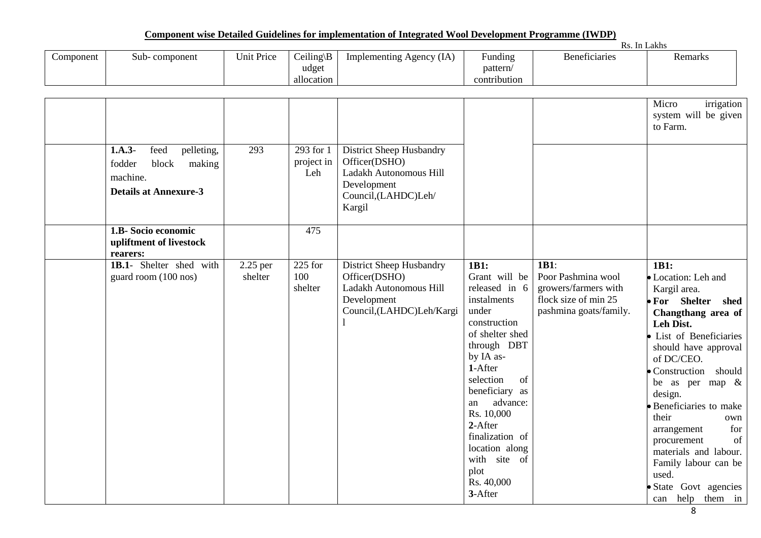|           |                     |            |                            |                          |                                       | $\mathbf{v}$<br>Rs. In Lakhs |         |
|-----------|---------------------|------------|----------------------------|--------------------------|---------------------------------------|------------------------------|---------|
| Component | - component<br>Sub- | Unit Price | $Ceiling \E$<br>$\sqrt{ }$ | Implementing Agency (IA) | $\cdot$ .<br>$\sim$ $\sim$<br>Funding | Beneficiaries                | Remarks |
|           |                     |            | udget                      |                          | pattern/                              |                              |         |
|           |                     |            | allocation                 |                          | contribution                          |                              |         |

| $1.A.3-$<br>feed<br>pelleting,<br>fodder<br>block<br>making<br>machine.<br><b>Details at Annexure-3</b> | 293                   | 293 for 1<br>project in<br>Leh | District Sheep Husbandry<br>Officer(DSHO)<br>Ladakh Autonomous Hill<br>Development<br>Council,(LAHDC)Leh/<br>Kargil |                                                                                                                                                                                                                                                                                                                   |                                                                                                      | Micro<br>irrigation<br>system will be given<br>to Farm.                                                                                                                                                                                                                                                                                                                                                                            |
|---------------------------------------------------------------------------------------------------------|-----------------------|--------------------------------|---------------------------------------------------------------------------------------------------------------------|-------------------------------------------------------------------------------------------------------------------------------------------------------------------------------------------------------------------------------------------------------------------------------------------------------------------|------------------------------------------------------------------------------------------------------|------------------------------------------------------------------------------------------------------------------------------------------------------------------------------------------------------------------------------------------------------------------------------------------------------------------------------------------------------------------------------------------------------------------------------------|
| 1.B- Socio economic<br>upliftment of livestock<br>rearers:                                              |                       | 475                            |                                                                                                                     |                                                                                                                                                                                                                                                                                                                   |                                                                                                      |                                                                                                                                                                                                                                                                                                                                                                                                                                    |
| 1B.1- Shelter shed with<br>guard room (100 nos)                                                         | $2.25$ per<br>shelter | $225$ for<br>100<br>shelter    | District Sheep Husbandry<br>Officer(DSHO)<br>Ladakh Autonomous Hill<br>Development<br>Council,(LAHDC)Leh/Kargi      | 1B1:<br>Grant will be<br>released in 6<br>instalments<br>under<br>construction<br>of shelter shed<br>through DBT<br>by IA as-<br>1-After<br>selection<br>of<br>beneficiary<br>as<br>advance:<br>an<br>Rs. 10,000<br>2-After<br>finalization of<br>location along<br>with site of<br>plot<br>Rs. 40,000<br>3-After | 1B1:<br>Poor Pashmina wool<br>growers/farmers with<br>flock size of min 25<br>pashmina goats/family. | 1B1:<br>• Location: Leh and<br>Kargil area.<br>• For Shelter<br>shed<br>Changthang area of<br>Leh Dist.<br>· List of Beneficiaries<br>should have approval<br>of DC/CEO.<br>• Construction should<br>be as per map $\&$<br>design.<br>· Beneficiaries to make<br>their<br>own<br>for<br>arrangement<br>of<br>procurement<br>materials and labour.<br>Family labour can be<br>used.<br>· State Govt agencies<br>help them in<br>can |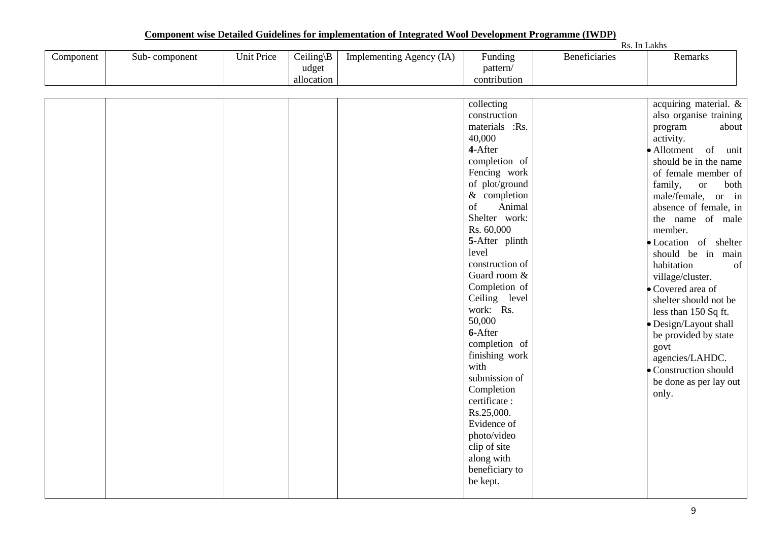|           |               |                   |                                                |                          |                                                                                                                                                                                                                                                                                                                                                                                                                                                                                                                           |                      | Rs. In Lakhs                                                                                                                                                                                                                                                                                                                                                                                                                                                                                                                                                                  |
|-----------|---------------|-------------------|------------------------------------------------|--------------------------|---------------------------------------------------------------------------------------------------------------------------------------------------------------------------------------------------------------------------------------------------------------------------------------------------------------------------------------------------------------------------------------------------------------------------------------------------------------------------------------------------------------------------|----------------------|-------------------------------------------------------------------------------------------------------------------------------------------------------------------------------------------------------------------------------------------------------------------------------------------------------------------------------------------------------------------------------------------------------------------------------------------------------------------------------------------------------------------------------------------------------------------------------|
| Component | Sub-component | <b>Unit Price</b> | $\overline{C}$ eiling\B<br>udget<br>allocation | Implementing Agency (IA) | Funding<br>pattern/<br>contribution                                                                                                                                                                                                                                                                                                                                                                                                                                                                                       | <b>Beneficiaries</b> | Remarks                                                                                                                                                                                                                                                                                                                                                                                                                                                                                                                                                                       |
|           |               |                   |                                                |                          |                                                                                                                                                                                                                                                                                                                                                                                                                                                                                                                           |                      |                                                                                                                                                                                                                                                                                                                                                                                                                                                                                                                                                                               |
|           |               |                   |                                                |                          | collecting<br>construction<br>materials :Rs.<br>40,000<br>4-After<br>completion of<br>Fencing work<br>of plot/ground<br>$&$ completion<br>Animal<br>of<br>Shelter work:<br>Rs. 60,000<br>5-After plinth<br>level<br>construction of<br>Guard room &<br>Completion of<br>Ceiling level<br>work: Rs.<br>50,000<br>6-After<br>completion of<br>finishing work<br>with<br>submission of<br>Completion<br>certificate:<br>Rs.25,000.<br>Evidence of<br>photo/video<br>clip of site<br>along with<br>beneficiary to<br>be kept. |                      | acquiring material. &<br>also organise training<br>about<br>program<br>activity.<br>• Allotment of<br>unit<br>should be in the name<br>of female member of<br>family,<br>both<br><b>or</b><br>male/female, or in<br>absence of female, in<br>the name of male<br>member.<br>· Location of shelter<br>should be in<br>main<br>habitation<br>of<br>village/cluster.<br>• Covered area of<br>shelter should not be<br>less than 150 Sq ft.<br>· Design/Layout shall<br>be provided by state<br>govt<br>agencies/LAHDC.<br>Construction should<br>be done as per lay out<br>only. |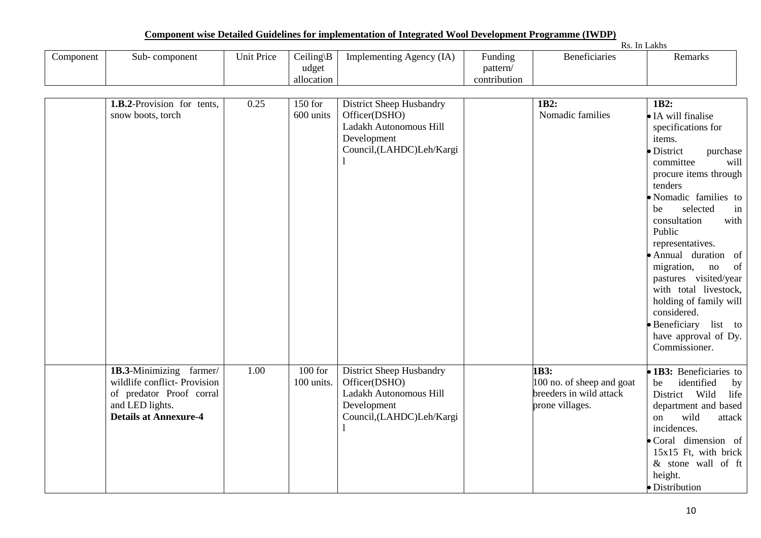|           |                     |            |                            |                          |                                     | IND.          | In Lakhs             |
|-----------|---------------------|------------|----------------------------|--------------------------|-------------------------------------|---------------|----------------------|
| `omponent | - component<br>Sub- | Unit Price | $Ceiling \E$<br>$\sqrt{ }$ | Implementing Agency (IA) | $\overline{\phantom{0}}$<br>Funding | Beneficiaries | n.<br><b>Remarks</b> |
|           |                     |            | udget                      |                          | pattern/                            |               |                      |
|           |                     |            | allocation                 |                          | contribution                        |               |                      |

| $\overline{1.B.2}$ -Provision for tents, |      |            |                          | 1B2:                      | 1B2:                          |
|------------------------------------------|------|------------|--------------------------|---------------------------|-------------------------------|
|                                          | 0.25 | $150$ for  | District Sheep Husbandry |                           |                               |
| snow boots, torch                        |      | 600 units  | Officer(DSHO)            | Nomadic families          | • IA will finalise            |
|                                          |      |            | Ladakh Autonomous Hill   |                           | specifications for            |
|                                          |      |            | Development              |                           | items.                        |
|                                          |      |            | Council,(LAHDC)Leh/Kargi |                           | · District<br>purchase        |
|                                          |      |            |                          |                           | committee<br>will             |
|                                          |      |            |                          |                           | procure items through         |
|                                          |      |            |                          |                           | tenders                       |
|                                          |      |            |                          |                           | · Nomadic families to         |
|                                          |      |            |                          |                           | selected<br>be<br>in          |
|                                          |      |            |                          |                           | consultation<br>with          |
|                                          |      |            |                          |                           | Public                        |
|                                          |      |            |                          |                           | representatives.              |
|                                          |      |            |                          |                           | · Annual duration of          |
|                                          |      |            |                          |                           | of<br>migration,<br>no        |
|                                          |      |            |                          |                           | pastures visited/year         |
|                                          |      |            |                          |                           | with total livestock,         |
|                                          |      |            |                          |                           | holding of family will        |
|                                          |      |            |                          |                           | considered.                   |
|                                          |      |            |                          |                           | $\bullet$ Beneficiary list to |
|                                          |      |            |                          |                           | have approval of Dy.          |
|                                          |      |            |                          |                           | Commissioner.                 |
|                                          |      |            |                          |                           |                               |
| 1B.3-Minimizing farmer/                  | 1.00 | $100$ for  | District Sheep Husbandry | 1B3:                      | • 1B3: Beneficiaries to       |
| wildlife conflict- Provision             |      | 100 units. | Officer(DSHO)            | 100 no. of sheep and goat | identified<br>be<br>by        |
| of predator Proof corral                 |      |            | Ladakh Autonomous Hill   | breeders in wild attack   | District Wild<br>life         |
| and LED lights.                          |      |            | Development              | prone villages.           | department and based          |
| <b>Details at Annexure-4</b>             |      |            | Council,(LAHDC)Leh/Kargi |                           | wild<br>attack<br>on          |
|                                          |      |            |                          |                           | incidences.                   |
|                                          |      |            |                          |                           | · Coral dimension of          |
|                                          |      |            |                          |                           | 15x15 Ft, with brick          |
|                                          |      |            |                          |                           | & stone wall of ft            |
|                                          |      |            |                          |                           |                               |
|                                          |      |            |                          |                           | height.                       |
|                                          |      |            |                          |                           | · Distribution                |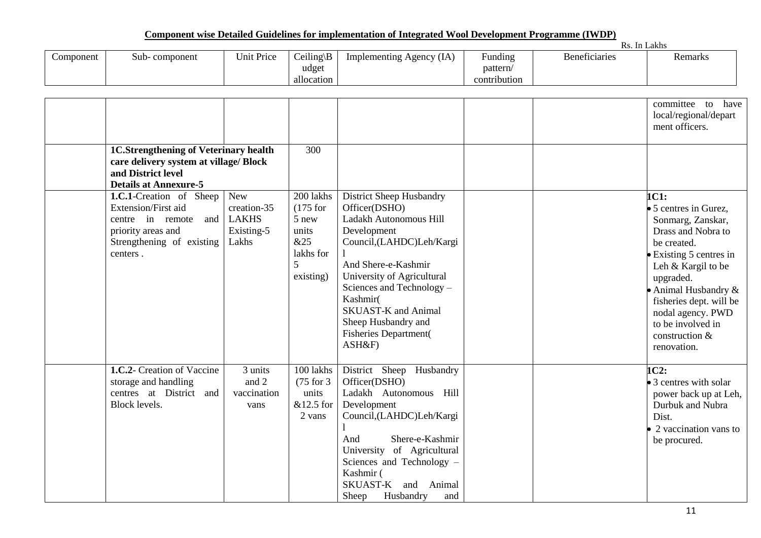|           |               |            |                                      | <u>U VAAAN VAAWAAN TIEDU AFUULUU WAXEELAAD AVA AAANAULULUULUULUULUU VA AAAUUU TI U VA AFU FILOOLOO TEA UMA ULAALU TA T</u> |                                                                  |               |         |
|-----------|---------------|------------|--------------------------------------|----------------------------------------------------------------------------------------------------------------------------|------------------------------------------------------------------|---------------|---------|
|           |               |            |                                      |                                                                                                                            |                                                                  | Rs. In Lakhs  |         |
| Component | Sub-component | Unit Price | $Ceiling \B)$<br>udget<br>allocation | Implementing Agency (IA)                                                                                                   | $\mathbf{r}$ $\mathbf{r}$<br>Funding<br>pattern/<br>contribution | Beneficiaries | Remarks |

|                                                                                                                                                 |                                                                  |                                                                                 |                                                                                                                                                                                                                                                                                                                |  | committee to have<br>local/regional/depart<br>ment officers.                                                                                                                                                                                                                           |
|-------------------------------------------------------------------------------------------------------------------------------------------------|------------------------------------------------------------------|---------------------------------------------------------------------------------|----------------------------------------------------------------------------------------------------------------------------------------------------------------------------------------------------------------------------------------------------------------------------------------------------------------|--|----------------------------------------------------------------------------------------------------------------------------------------------------------------------------------------------------------------------------------------------------------------------------------------|
| <b>1C.Strengthening of Veterinary health</b><br>care delivery system at village/ Block<br>and District level<br><b>Details at Annexure-5</b>    |                                                                  | 300                                                                             |                                                                                                                                                                                                                                                                                                                |  |                                                                                                                                                                                                                                                                                        |
| <b>1.C.1-Creation</b> of Sheep<br>Extension/First aid<br>centre in remote<br>and<br>priority areas and<br>Strengthening of existing<br>centers. | <b>New</b><br>creation-35<br><b>LAKHS</b><br>Existing-5<br>Lakhs | 200 lakhs<br>$(175$ for<br>5 new<br>units<br>&25<br>lakhs for<br>5<br>existing) | District Sheep Husbandry<br>Officer(DSHO)<br>Ladakh Autonomous Hill<br>Development<br>Council,(LAHDC)Leh/Kargi<br>And Shere-e-Kashmir<br>University of Agricultural<br>Sciences and Technology -<br>Kashmir(<br><b>SKUAST-K</b> and Animal<br>Sheep Husbandry and<br><b>Fisheries Department(</b><br>$ASH\&F)$ |  | 1C1:<br>• 5 centres in Gurez,<br>Sonmarg, Zanskar,<br>Drass and Nobra to<br>be created.<br>• Existing 5 centres in<br>Leh & Kargil to be<br>upgraded.<br>• Animal Husbandry $\&$<br>fisheries dept. will be<br>nodal agency. PWD<br>to be involved in<br>construction &<br>renovation. |
| 1.C.2- Creation of Vaccine<br>storage and handling<br>centres at District and<br>Block levels.                                                  | 3 units<br>and 2<br>vaccination<br>vans                          | 100 lakhs<br>$(75$ for 3<br>units<br>&12.5 for<br>2 vans                        | District Sheep Husbandry<br>Officer(DSHO)<br>Ladakh Autonomous Hill<br>Development<br>Council, (LAHDC) Leh/Kargi<br>Shere-e-Kashmir<br>And<br>University of Agricultural<br>Sciences and Technology -<br>Kashmir (<br>SKUAST-K<br>Animal<br>and<br>Sheep<br>Husbandry<br>and                                   |  | 1C2:<br>• 3 centres with solar<br>power back up at Leh,<br>Durbuk and Nubra<br>Dist.<br>• 2 vaccination vans to<br>be procured.                                                                                                                                                        |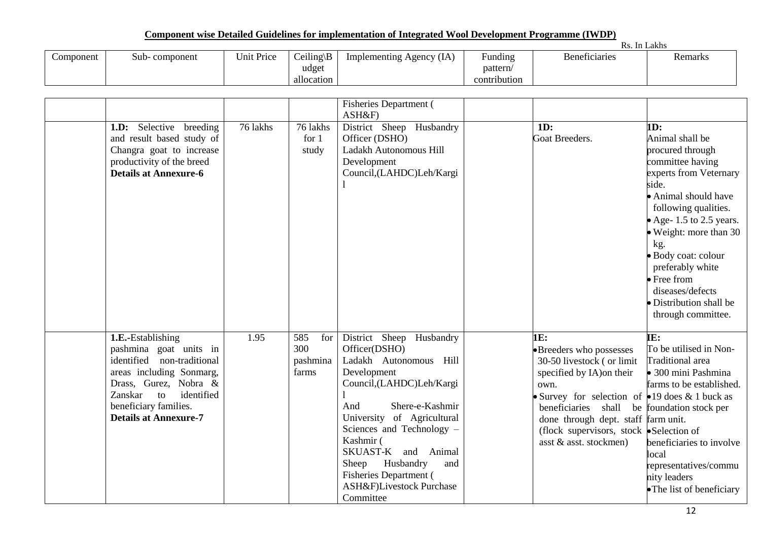|           |                     |            |              |                             |                                               | <b>RS</b><br>In. | Lakhs   |
|-----------|---------------------|------------|--------------|-----------------------------|-----------------------------------------------|------------------|---------|
| Component | component -<br>Sub- | Unit Price | $Ceiling \E$ | (IA)<br>Implementing Agency | $\overline{\phantom{0}}$<br>$\sim$<br>Funding | Beneficiaries    | Remarks |
|           |                     |            | udget        |                             | pattern                                       |                  |         |
|           |                     |            | allocation   |                             | contribution                                  |                  |         |

|                                                                                                                                                                                                                        |          |                                        | <b>Fisheries Department</b> (<br>ASH&F)                                                                                                                                                                                                                                                                                                        |                                                                                                                                                                                                                                                                                                                     |                                                                                                                                                                                                                                                                                                                                                       |
|------------------------------------------------------------------------------------------------------------------------------------------------------------------------------------------------------------------------|----------|----------------------------------------|------------------------------------------------------------------------------------------------------------------------------------------------------------------------------------------------------------------------------------------------------------------------------------------------------------------------------------------------|---------------------------------------------------------------------------------------------------------------------------------------------------------------------------------------------------------------------------------------------------------------------------------------------------------------------|-------------------------------------------------------------------------------------------------------------------------------------------------------------------------------------------------------------------------------------------------------------------------------------------------------------------------------------------------------|
| <b>1.D:</b> Selective breeding<br>and result based study of<br>Changra goat to increase<br>productivity of the breed<br><b>Details at Annexure-6</b>                                                                   | 76 lakhs | 76 lakhs<br>for $1$<br>study           | District Sheep Husbandry<br>Officer (DSHO)<br>Ladakh Autonomous Hill<br>Development<br>Council,(LAHDC)Leh/Kargi                                                                                                                                                                                                                                | 1D:<br>Goat Breeders.                                                                                                                                                                                                                                                                                               | 1D:<br>Animal shall be<br>procured through<br>committee having<br>experts from Veternary<br>side.<br>• Animal should have<br>following qualities.<br>• Age- 1.5 to 2.5 years.<br>• Weight: more than 30<br>kg.<br>· Body coat: colour<br>preferably white<br>$\bullet$ Free from<br>diseases/defects<br>• Distribution shall be<br>through committee. |
| 1.E.-Establishing<br>pashmina goat units in<br>identified non-traditional<br>areas including Sonmarg,<br>Drass, Gurez, Nobra &<br>identified<br>Zanskar<br>to<br>beneficiary families.<br><b>Details at Annexure-7</b> | 1.95     | 585<br>for<br>300<br>pashmina<br>farms | District Sheep Husbandry<br>Officer(DSHO)<br>Ladakh Autonomous Hill<br>Development<br>Council,(LAHDC)Leh/Kargi<br>Shere-e-Kashmir<br>And<br>University of Agricultural<br>Sciences and Technology -<br>Kashmir (<br>SKUAST-K and Animal<br>Sheep<br>Husbandry<br>and<br><b>Fisheries Department (</b><br>ASH&F)Livestock Purchase<br>Committee | 1E:<br>•Breeders who possesses<br>30-50 livestock (or limit<br>specified by IA) on their<br>own.<br>Survey for selection of $\bullet$ 19 does & 1 buck as<br>beneficiaries shall be foundation stock per<br>done through dept. staff farm unit.<br>(flock supervisors, stock Selection of<br>asst & asst. stockmen) | IE:<br>To be utilised in Non-<br><b>Traditional</b> area<br>• 300 mini Pashmina<br>farms to be established.<br>beneficiaries to involve<br>local<br>representatives/commu<br>nity leaders<br>• The list of beneficiary                                                                                                                                |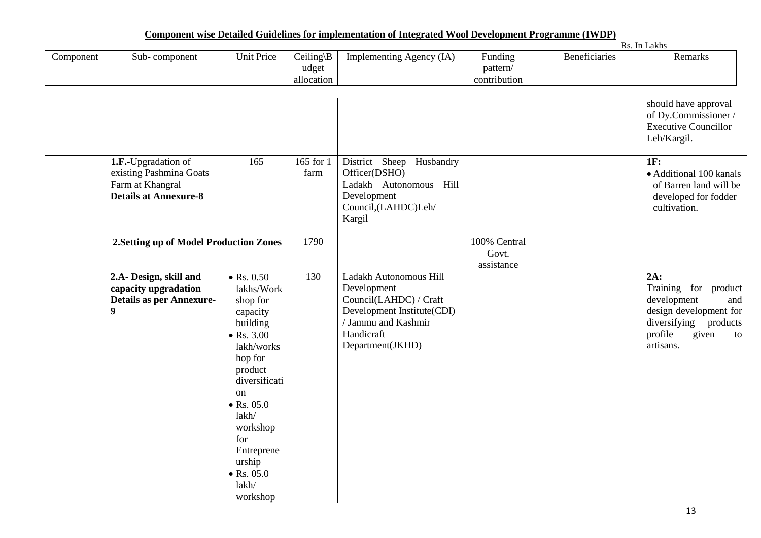|           |                                                                                                    |                                                                                                                                                                                                                                                                            |                                      |                                                                                                                                                        |                                     |                      | Rs. In Lakhs                                                                                                                                   |
|-----------|----------------------------------------------------------------------------------------------------|----------------------------------------------------------------------------------------------------------------------------------------------------------------------------------------------------------------------------------------------------------------------------|--------------------------------------|--------------------------------------------------------------------------------------------------------------------------------------------------------|-------------------------------------|----------------------|------------------------------------------------------------------------------------------------------------------------------------------------|
| Component | Sub-component                                                                                      | <b>Unit Price</b>                                                                                                                                                                                                                                                          | $Ceiling \B)$<br>udget<br>allocation | Implementing Agency (IA)                                                                                                                               | Funding<br>pattern/<br>contribution | <b>Beneficiaries</b> | Remarks                                                                                                                                        |
|           |                                                                                                    |                                                                                                                                                                                                                                                                            |                                      |                                                                                                                                                        |                                     |                      | should have approval<br>of Dy.Commissioner /<br><b>Executive Councillor</b><br>Leh/Kargil.                                                     |
|           | 1.F.-Upgradation of<br>existing Pashmina Goats<br>Farm at Khangral<br><b>Details at Annexure-8</b> | 165                                                                                                                                                                                                                                                                        | $\overline{165}$ for 1<br>farm       | District Sheep Husbandry<br>Officer(DSHO)<br>Ladakh Autonomous Hill<br>Development<br>Council, (LAHDC)Leh/<br>Kargil                                   |                                     |                      | 1F:<br>• Additional 100 kanals<br>of Barren land will be<br>developed for fodder<br>cultivation.                                               |
|           | 2. Setting up of Model Production Zones                                                            |                                                                                                                                                                                                                                                                            | 1790                                 |                                                                                                                                                        | 100% Central<br>Govt.<br>assistance |                      |                                                                                                                                                |
|           | 2.A- Design, skill and<br>capacity upgradation<br><b>Details as per Annexure-</b><br>9             | $\bullet$ Rs. 0.50<br>lakhs/Work<br>shop for<br>capacity<br>building<br>$\bullet$ Rs. 3.00<br>lakh/works<br>hop for<br>product<br>diversificati<br>on<br>$\bullet$ Rs. 05.0<br>lakh/<br>workshop<br>for<br>Entreprene<br>urship<br>$\bullet$ Rs. 05.0<br>lakh/<br>workshop | 130                                  | Ladakh Autonomous Hill<br>Development<br>Council(LAHDC) / Craft<br>Development Institute(CDI)<br>/ Jammu and Kashmir<br>Handicraft<br>Department(JKHD) |                                     |                      | 2A:<br>Training for product<br>development<br>and<br>design development for<br>diversifying<br>products<br>profile<br>given<br>to<br>artisans. |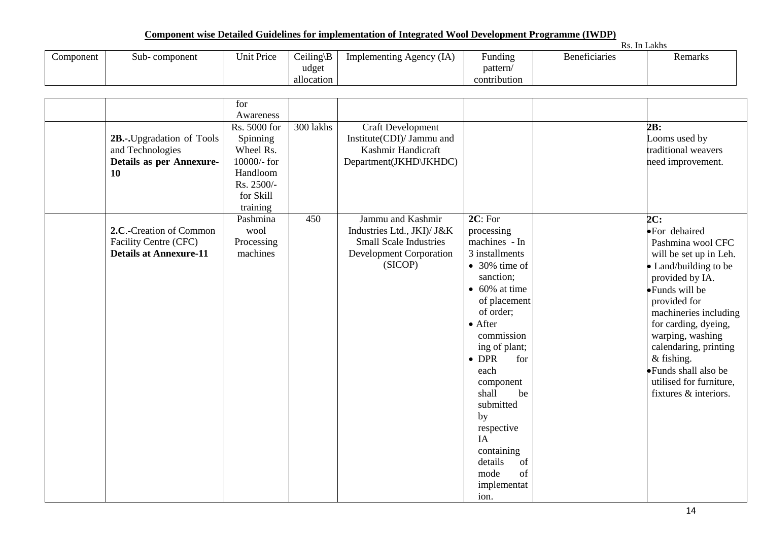|           |               |            |               |                                   |                           | Rs.                  | . In Lakhs |
|-----------|---------------|------------|---------------|-----------------------------------|---------------------------|----------------------|------------|
| Component | Sub-component | Unit Price | $Ceiling \B)$ | (IA)<br>. Agency<br>Implementing. | $\blacksquare$<br>Funding | <b>Beneficiaries</b> | Remarks    |
|           |               |            | udget         |                                   | pattern/                  |                      |            |
|           |               |            | allocation    |                                   | contribution              |                      |            |

|                                                                                         | for<br>Awareness                                                                                        |           |                                                                                                                               |                                                                                                                                                                                                                                                                                                                                                                               |                                                                                                                                                                                                                                                                                                                                                       |
|-----------------------------------------------------------------------------------------|---------------------------------------------------------------------------------------------------------|-----------|-------------------------------------------------------------------------------------------------------------------------------|-------------------------------------------------------------------------------------------------------------------------------------------------------------------------------------------------------------------------------------------------------------------------------------------------------------------------------------------------------------------------------|-------------------------------------------------------------------------------------------------------------------------------------------------------------------------------------------------------------------------------------------------------------------------------------------------------------------------------------------------------|
| 2B.-. Upgradation of Tools<br>and Technologies<br><b>Details as per Annexure-</b><br>10 | Rs. 5000 for<br>Spinning<br>Wheel Rs.<br>10000/- for<br>Handloom<br>Rs. 2500/-<br>for Skill<br>training | 300 lakhs | Craft Development<br>Institute(CDI)/ Jammu and<br>Kashmir Handicraft<br>Department(JKHD\JKHDC)                                |                                                                                                                                                                                                                                                                                                                                                                               | 2B:<br>Looms used by<br>traditional weavers<br>need improvement.                                                                                                                                                                                                                                                                                      |
| 2.C.-Creation of Common<br>Facility Centre (CFC)<br><b>Details at Annexure-11</b>       | Pashmina<br>wool<br>Processing<br>machines                                                              | 450       | Jammu and Kashmir<br>Industries Ltd., JKI)/ J&K<br><b>Small Scale Industries</b><br><b>Development Corporation</b><br>(SICOP) | 2C: For<br>processing<br>machines - In<br>3 installments<br>$\bullet$ 30% time of<br>sanction;<br>$\bullet$ 60% at time<br>of placement<br>of order;<br>$\bullet$ After<br>commission<br>ing of plant;<br>$\bullet$ DPR<br>for<br>each<br>component<br>shall<br>be<br>submitted<br>by<br>respective<br>IA<br>containing<br>details<br>of<br>of<br>mode<br>implementat<br>ion. | 2C:<br>·For dehaired<br>Pashmina wool CFC<br>will be set up in Leh.<br>• Land/building to be<br>provided by IA.<br>$\bullet$ Funds will be<br>provided for<br>machineries including<br>for carding, dyeing,<br>warping, washing<br>calendaring, printing<br>$&$ fishing.<br>• Funds shall also be<br>utilised for furniture.<br>fixtures & interiors. |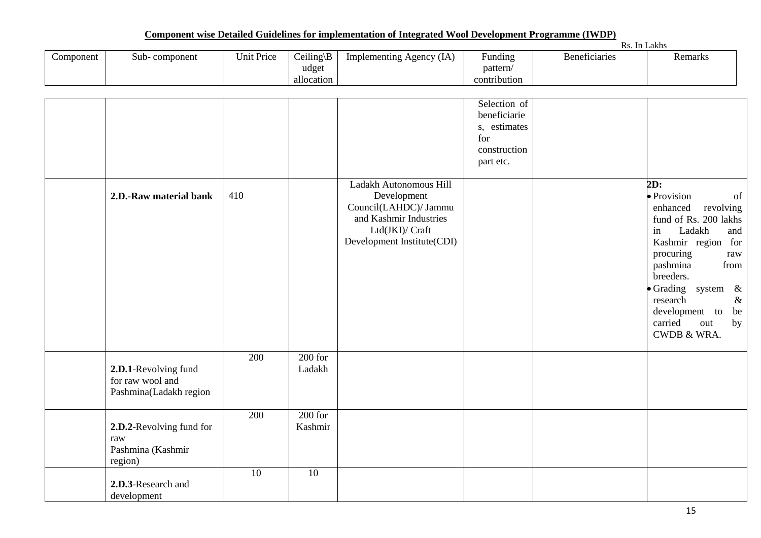|           |                     |            |                                     |                            |                            | $\mathbf{v}$<br>Rs. In Lakhs |         |
|-----------|---------------------|------------|-------------------------------------|----------------------------|----------------------------|------------------------------|---------|
| Component | - component<br>Sub- | Unit Price | $Ceiling \E$<br>$\sqrt{D}$<br>udget | Implementing Agency<br>(IA | <b>Funding</b><br>pattern/ | <b>Beneficiaries</b>         | Remarks |
|           |                     |            | allocation                          |                            | contribution               |                              |         |

|                                                                    |     |                      |                                                                                                                                           | Selection of<br>beneficiarie<br>s, estimates<br>for<br>construction<br>part etc. |                                                                                                                                                                                                                                                                                                        |
|--------------------------------------------------------------------|-----|----------------------|-------------------------------------------------------------------------------------------------------------------------------------------|----------------------------------------------------------------------------------|--------------------------------------------------------------------------------------------------------------------------------------------------------------------------------------------------------------------------------------------------------------------------------------------------------|
| 2.D.-Raw material bank                                             | 410 |                      | Ladakh Autonomous Hill<br>Development<br>Council(LAHDC)/ Jammu<br>and Kashmir Industries<br>Ltd(JKI)/ Craft<br>Development Institute(CDI) |                                                                                  | 2D:<br>· Provision<br>of<br>enhanced<br>revolving<br>fund of Rs. 200 lakhs<br>in<br>Ladakh<br>and<br>Kashmir region for<br>procuring<br>raw<br>from<br>pashmina<br>breeders.<br>• Grading system<br>$\&$<br>research<br>$\&$<br>development to<br>be<br>carried<br>out<br>by<br><b>CWDB &amp; WRA.</b> |
| 2.D.1-Revolving fund<br>for raw wool and<br>Pashmina(Ladakh region | 200 | $200$ for<br>Ladakh  |                                                                                                                                           |                                                                                  |                                                                                                                                                                                                                                                                                                        |
| 2.D.2-Revolving fund for<br>raw<br>Pashmina (Kashmir<br>region)    | 200 | $200$ for<br>Kashmir |                                                                                                                                           |                                                                                  |                                                                                                                                                                                                                                                                                                        |
| 2.D.3-Research and<br>development                                  | 10  | 10                   |                                                                                                                                           |                                                                                  |                                                                                                                                                                                                                                                                                                        |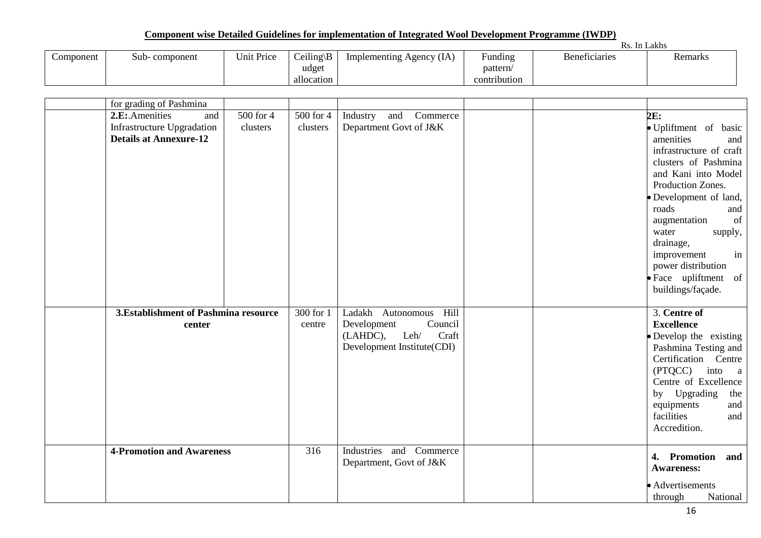|           |                     |            |              |                                   |                    | Кs<br>In.     | Lakhs   |
|-----------|---------------------|------------|--------------|-----------------------------------|--------------------|---------------|---------|
| Component | component -<br>Sub- | Unit Price | $Ceiling \E$ | (IA)<br>. Agency<br>Implementing. | $\cdot$<br>Funding | Beneficiaries | Remarks |
|           |                     |            | udget        |                                   | pattern            |               |         |
|           |                     |            | allocation   |                                   | contribution       |               |         |

| for grading of Pashmina               |           |           |                             |  |                         |
|---------------------------------------|-----------|-----------|-----------------------------|--|-------------------------|
| 2.E: Amenities<br>and                 | 500 for 4 | 500 for 4 | and<br>Commerce<br>Industry |  | 2E:                     |
| Infrastructure Upgradation            | clusters  | clusters  | Department Govt of J&K      |  | · Upliftment of basic   |
| <b>Details at Annexure-12</b>         |           |           |                             |  | amenities<br>and        |
|                                       |           |           |                             |  | infrastructure of craft |
|                                       |           |           |                             |  | clusters of Pashmina    |
|                                       |           |           |                             |  | and Kani into Model     |
|                                       |           |           |                             |  | Production Zones.       |
|                                       |           |           |                             |  | • Development of land,  |
|                                       |           |           |                             |  | roads<br>and            |
|                                       |           |           |                             |  | of<br>augmentation      |
|                                       |           |           |                             |  | supply,<br>water        |
|                                       |           |           |                             |  | drainage,               |
|                                       |           |           |                             |  | in<br>improvement       |
|                                       |           |           |                             |  | power distribution      |
|                                       |           |           |                             |  | • Face upliftment of    |
|                                       |           |           |                             |  | buildings/façade.       |
|                                       |           |           |                             |  |                         |
| 3. Establishment of Pashmina resource |           | 300 for 1 | Ladakh Autonomous<br>Hill   |  | 3. Centre of            |
| center                                |           | centre    | Council<br>Development      |  | <b>Excellence</b>       |
|                                       |           |           | Leh/<br>(LAHDC),<br>Craft   |  | · Develop the existing  |
|                                       |           |           | Development Institute(CDI)  |  | Pashmina Testing and    |
|                                       |           |           |                             |  | Certification Centre    |
|                                       |           |           |                             |  | (PTQCC) into a          |
|                                       |           |           |                             |  | Centre of Excellence    |
|                                       |           |           |                             |  | by Upgrading<br>the     |
|                                       |           |           |                             |  | and<br>equipments       |
|                                       |           |           |                             |  | facilities<br>and       |
|                                       |           |           |                             |  | Accredition.            |
|                                       |           |           |                             |  |                         |
| <b>4-Promotion and Awareness</b>      |           | 316       | Industries<br>and Commerce  |  | 4. Promotion<br>and     |
|                                       |           |           | Department, Govt of J&K     |  | <b>Awareness:</b>       |
|                                       |           |           |                             |  |                         |
|                                       |           |           |                             |  | • Advertisements        |
|                                       |           |           |                             |  | National<br>through     |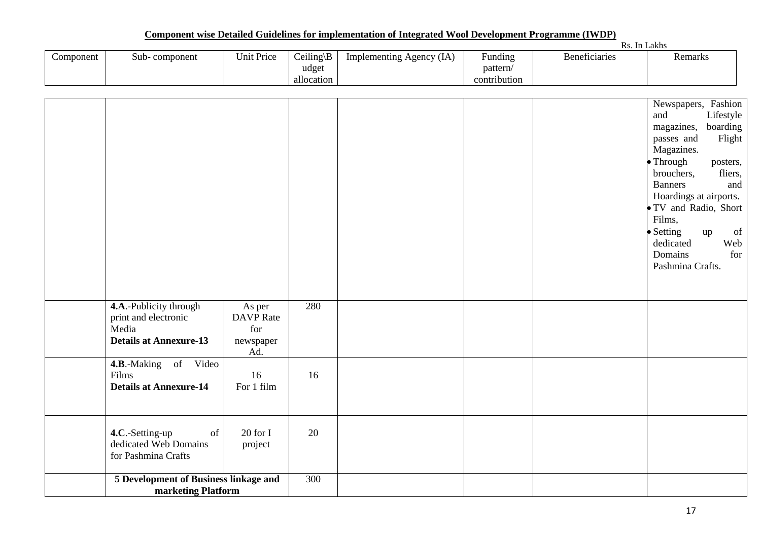|           | Rs. In Lakhs                                                                                                                                                          |                                                       |                                     |                          |                                     |                      |                                                                                                                                                                                                                                                                                                                                                                                                                                  |
|-----------|-----------------------------------------------------------------------------------------------------------------------------------------------------------------------|-------------------------------------------------------|-------------------------------------|--------------------------|-------------------------------------|----------------------|----------------------------------------------------------------------------------------------------------------------------------------------------------------------------------------------------------------------------------------------------------------------------------------------------------------------------------------------------------------------------------------------------------------------------------|
| Component | Sub-component                                                                                                                                                         | Unit Price                                            | Ceiling\ $B$<br>udget<br>allocation | Implementing Agency (IA) | Funding<br>pattern/<br>contribution | <b>Beneficiaries</b> | Remarks                                                                                                                                                                                                                                                                                                                                                                                                                          |
|           |                                                                                                                                                                       |                                                       |                                     |                          |                                     |                      | Newspapers, Fashion<br>and<br>Lifestyle<br>boarding<br>magazines,<br>passes and<br>Flight<br>Magazines.<br>Through<br>posters,<br>brouchers,<br>fliers,<br><b>Banners</b><br>and<br>Hoardings at airports.<br>· TV and Radio, Short<br>Films,<br>• Setting<br>$% \left( \left( \mathcal{A},\mathcal{A}\right) \right) =\left( \mathcal{A},\mathcal{A}\right)$ of<br>up<br>dedicated<br>Web<br>Domains<br>for<br>Pashmina Crafts. |
|           | 4.A.-Publicity through<br>print and electronic<br>Media<br><b>Details at Annexure-13</b>                                                                              | As per<br><b>DAVP</b> Rate<br>for<br>newspaper<br>Ad. | 280                                 |                          |                                     |                      |                                                                                                                                                                                                                                                                                                                                                                                                                                  |
|           | 4.B.-Making of Video<br>Films<br><b>Details at Annexure-14</b>                                                                                                        | 16<br>For 1 film                                      | 16                                  |                          |                                     |                      |                                                                                                                                                                                                                                                                                                                                                                                                                                  |
|           | 4.C.-Setting-up<br>$% \left( \left( \mathcal{A},\mathcal{A}\right) \right) =\left( \mathcal{A},\mathcal{A}\right)$ of<br>dedicated Web Domains<br>for Pashmina Crafts | 20 for I<br>project                                   | 20                                  |                          |                                     |                      |                                                                                                                                                                                                                                                                                                                                                                                                                                  |
|           | 5 Development of Business linkage and<br>marketing Platform                                                                                                           |                                                       | $\overline{300}$                    |                          |                                     |                      |                                                                                                                                                                                                                                                                                                                                                                                                                                  |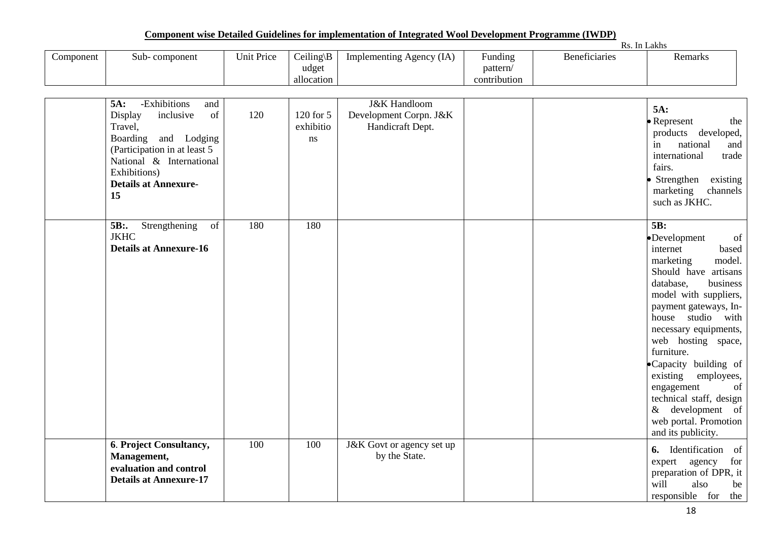|           |               |            |                        |                          |                     |               | ln Lakhs |
|-----------|---------------|------------|------------------------|--------------------------|---------------------|---------------|----------|
| Component | Sub-component | Unit Price | $Ceiling \B)$<br>udget | Implementing Agency (IA) | Funding<br>pattern/ | Beneficiaries | Remarks  |
|           |               |            | allocation             |                          | contribution        |               |          |

|    | -Exhibitions<br>5A:<br>and                                                                                                                                               |     |                              | <b>J&amp;K</b> Handloom                    |  |                                                                                                                                                                                                                                                                                                                                                                                                                                 |
|----|--------------------------------------------------------------------------------------------------------------------------------------------------------------------------|-----|------------------------------|--------------------------------------------|--|---------------------------------------------------------------------------------------------------------------------------------------------------------------------------------------------------------------------------------------------------------------------------------------------------------------------------------------------------------------------------------------------------------------------------------|
| 15 | of<br>Display<br>inclusive<br>Travel,<br>Boarding and Lodging<br>(Participation in at least 5<br>National & International<br>Exhibitions)<br><b>Details at Annexure-</b> | 120 | 120 for 5<br>exhibitio<br>ns | Development Corpn. J&K<br>Handicraft Dept. |  | 5A:<br>• Represent<br>the<br>products developed,<br>national<br>and<br>in<br>international<br>trade<br>fairs.<br>• Strengthen<br>existing<br>marketing<br>channels<br>such as JKHC.                                                                                                                                                                                                                                             |
|    | 5B:.<br>Strengthening<br>of<br><b>JKHC</b><br><b>Details at Annexure-16</b>                                                                                              | 180 | 180                          |                                            |  | 5B:<br>of<br>•Development<br>internet<br>based<br>model.<br>marketing<br>Should have artisans<br>database,<br>business<br>model with suppliers,<br>payment gateways, In-<br>house studio with<br>necessary equipments,<br>web hosting space,<br>furniture.<br>•Capacity building of<br>existing<br>employees,<br>of<br>engagement<br>technical staff, design<br>& development of<br>web portal. Promotion<br>and its publicity. |
|    | 6. Project Consultancy,<br>Management,<br>evaluation and control<br><b>Details at Annexure-17</b>                                                                        | 100 | 100                          | J&K Govt or agency set up<br>by the State. |  | <b>6.</b> Identification of<br>expert agency<br>for<br>preparation of DPR, it<br>will<br>also<br>be<br>responsible for the                                                                                                                                                                                                                                                                                                      |